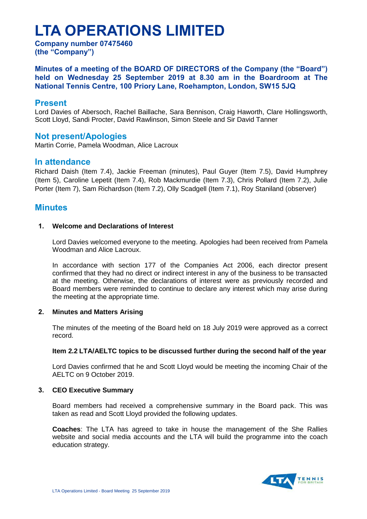# **LTA OPERATIONS LIMITED**

**Company number 07475460 (the "Company")**

**Minutes of a meeting of the BOARD OF DIRECTORS of the Company (the "Board") held on Wednesday 25 September 2019 at 8.30 am in the Boardroom at The National Tennis Centre, 100 Priory Lane, Roehampton, London, SW15 5JQ**

# **Present**

Lord Davies of Abersoch, Rachel Baillache, Sara Bennison, Craig Haworth, Clare Hollingsworth, Scott Lloyd, Sandi Procter, David Rawlinson, Simon Steele and Sir David Tanner

# **Not present/Apologies**

Martin Corrie, Pamela Woodman, Alice Lacroux

# **In attendance**

Richard Daish (Item 7.4), Jackie Freeman (minutes), Paul Guyer (Item 7.5), David Humphrey (Item 5), Caroline Lepetit (Item 7.4), Rob Mackmurdie (Item 7.3), Chris Pollard (Item 7.2), Julie Porter (Item 7), Sam Richardson (Item 7.2), Olly Scadgell (Item 7.1), Roy Staniland (observer)

# **Minutes**

# **1. Welcome and Declarations of Interest**

Lord Davies welcomed everyone to the meeting. Apologies had been received from Pamela Woodman and Alice Lacroux.

In accordance with section 177 of the Companies Act 2006, each director present confirmed that they had no direct or indirect interest in any of the business to be transacted at the meeting. Otherwise, the declarations of interest were as previously recorded and Board members were reminded to continue to declare any interest which may arise during the meeting at the appropriate time.

# **2. Minutes and Matters Arising**

The minutes of the meeting of the Board held on 18 July 2019 were approved as a correct record.

#### **Item 2.2 LTA/AELTC topics to be discussed further during the second half of the year**

Lord Davies confirmed that he and Scott Lloyd would be meeting the incoming Chair of the AELTC on 9 October 2019.

# **3. CEO Executive Summary**

Board members had received a comprehensive summary in the Board pack. This was taken as read and Scott Lloyd provided the following updates.

**Coaches**: The LTA has agreed to take in house the management of the She Rallies website and social media accounts and the LTA will build the programme into the coach education strategy.

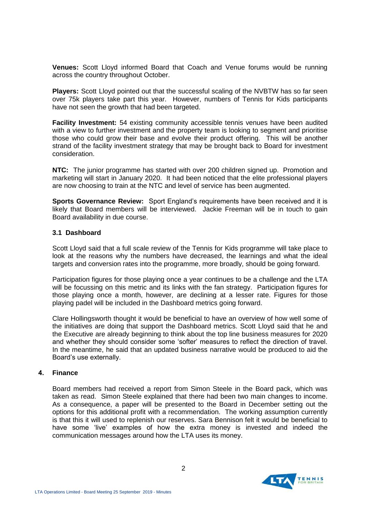**Venues:** Scott Lloyd informed Board that Coach and Venue forums would be running across the country throughout October.

**Players:** Scott Lloyd pointed out that the successful scaling of the NVBTW has so far seen over 75k players take part this year. However, numbers of Tennis for Kids participants have not seen the growth that had been targeted.

**Facility Investment:** 54 existing community accessible tennis venues have been audited with a view to further investment and the property team is looking to segment and prioritise those who could grow their base and evolve their product offering. This will be another strand of the facility investment strategy that may be brought back to Board for investment consideration.

**NTC:** The junior programme has started with over 200 children signed up. Promotion and marketing will start in January 2020. It had been noticed that the elite professional players are now choosing to train at the NTC and level of service has been augmented.

**Sports Governance Review:** Sport England's requirements have been received and it is likely that Board members will be interviewed. Jackie Freeman will be in touch to gain Board availability in due course.

## **3.1 Dashboard**

Scott Lloyd said that a full scale review of the Tennis for Kids programme will take place to look at the reasons why the numbers have decreased, the learnings and what the ideal targets and conversion rates into the programme, more broadly, should be going forward.

Participation figures for those playing once a year continues to be a challenge and the LTA will be focussing on this metric and its links with the fan strategy. Participation figures for those playing once a month, however, are declining at a lesser rate. Figures for those playing padel will be included in the Dashboard metrics going forward.

Clare Hollingsworth thought it would be beneficial to have an overview of how well some of the initiatives are doing that support the Dashboard metrics. Scott Lloyd said that he and the Executive are already beginning to think about the top line business measures for 2020 and whether they should consider some 'softer' measures to reflect the direction of travel. In the meantime, he said that an updated business narrative would be produced to aid the Board's use externally.

#### **4. Finance**

Board members had received a report from Simon Steele in the Board pack, which was taken as read. Simon Steele explained that there had been two main changes to income. As a consequence, a paper will be presented to the Board in December setting out the options for this additional profit with a recommendation. The working assumption currently is that this it will used to replenish our reserves. Sara Bennison felt it would be beneficial to have some 'live' examples of how the extra money is invested and indeed the communication messages around how the LTA uses its money.

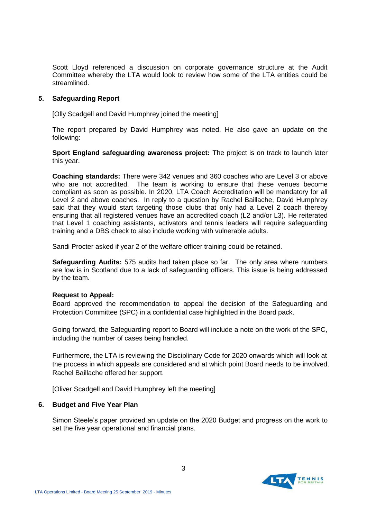Scott Lloyd referenced a discussion on corporate governance structure at the Audit Committee whereby the LTA would look to review how some of the LTA entities could be streamlined.

## **5. Safeguarding Report**

[Olly Scadgell and David Humphrey joined the meeting]

The report prepared by David Humphrey was noted. He also gave an update on the following:

**Sport England safeguarding awareness project:** The project is on track to launch later this year.

**Coaching standards:** There were 342 venues and 360 coaches who are Level 3 or above who are not accredited. The team is working to ensure that these venues become compliant as soon as possible. In 2020, LTA Coach Accreditation will be mandatory for all Level 2 and above coaches. In reply to a question by Rachel Baillache, David Humphrey said that they would start targeting those clubs that only had a Level 2 coach thereby ensuring that all registered venues have an accredited coach (L2 and/or L3). He reiterated that Level 1 coaching assistants, activators and tennis leaders will require safeguarding training and a DBS check to also include working with vulnerable adults.

Sandi Procter asked if year 2 of the welfare officer training could be retained.

**Safeguarding Audits:** 575 audits had taken place so far. The only area where numbers are low is in Scotland due to a lack of safeguarding officers. This issue is being addressed by the team.

#### **Request to Appeal:**

Board approved the recommendation to appeal the decision of the Safeguarding and Protection Committee (SPC) in a confidential case highlighted in the Board pack.

Going forward, the Safeguarding report to Board will include a note on the work of the SPC, including the number of cases being handled.

Furthermore, the LTA is reviewing the Disciplinary Code for 2020 onwards which will look at the process in which appeals are considered and at which point Board needs to be involved. Rachel Baillache offered her support.

[Oliver Scadgell and David Humphrey left the meeting]

#### **6. Budget and Five Year Plan**

Simon Steele's paper provided an update on the 2020 Budget and progress on the work to set the five year operational and financial plans.

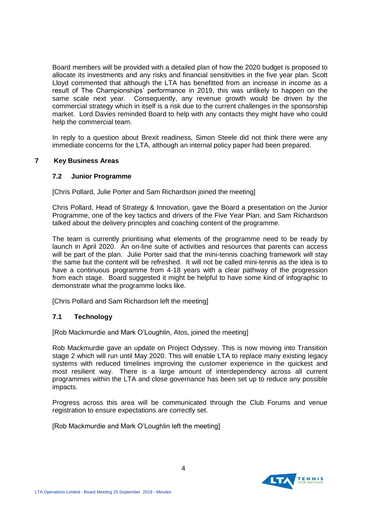Board members will be provided with a detailed plan of how the 2020 budget is proposed to allocate its investments and any risks and financial sensitivities in the five year plan. Scott Lloyd commented that although the LTA has benefitted from an increase in income as a result of The Championships' performance in 2019, this was unlikely to happen on the same scale next year. Consequently, any revenue growth would be driven by the commercial strategy which in itself is a risk due to the current challenges in the sponsorship market. Lord Davies reminded Board to help with any contacts they might have who could help the commercial team.

In reply to a question about Brexit readiness, Simon Steele did not think there were any immediate concerns for the LTA, although an internal policy paper had been prepared.

## **7 Key Business Areas**

## **7.2 Junior Programme**

[Chris Pollard, Julie Porter and Sam Richardson joined the meeting]

Chris Pollard, Head of Strategy & Innovation, gave the Board a presentation on the Junior Programme, one of the key tactics and drivers of the Five Year Plan, and Sam Richardson talked about the delivery principles and coaching content of the programme.

The team is currently prioritising what elements of the programme need to be ready by launch in April 2020. An on-line suite of activities and resources that parents can access will be part of the plan. Julie Porter said that the mini-tennis coaching framework will stay the same but the content will be refreshed. It will not be called mini-tennis as the idea is to have a continuous programme from 4-18 years with a clear pathway of the progression from each stage. Board suggested it might be helpful to have some kind of infographic to demonstrate what the programme looks like.

[Chris Pollard and Sam Richardson left the meeting]

# **7.1 Technology**

[Rob Mackmurdie and Mark O'Loughlin, Atos, joined the meeting]

Rob Mackmurdie gave an update on Project Odyssey. This is now moving into Transition stage 2 which will run until May 2020. This will enable LTA to replace many existing legacy systems with reduced timelines improving the customer experience in the quickest and most resilient way. There is a large amount of interdependency across all current programmes within the LTA and close governance has been set up to reduce any possible impacts.

Progress across this area will be communicated through the Club Forums and venue registration to ensure expectations are correctly set.

[Rob Mackmurdie and Mark O'Loughlin left the meeting]

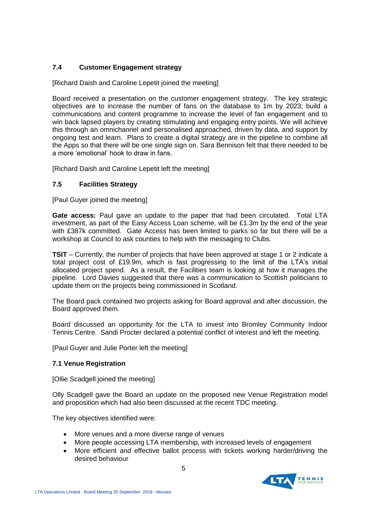# **7.4 Customer Engagement strategy**

[Richard Daish and Caroline Lepetit joined the meeting]

Board received a presentation on the customer engagement strategy. The key strategic objectives are to increase the number of fans on the database to 1m by 2023; build a communications and content programme to increase the level of fan engagement and to win back lapsed players by creating stimulating and engaging entry points. We will achieve this through an omnichannel and personalised approached, driven by data, and support by ongoing test and learn. Plans to create a digital strategy are in the pipeline to combine all the Apps so that there will be one single sign on. Sara Bennison felt that there needed to be a more 'emotional' hook to draw in fans.

[Richard Daish and Caroline Lepetit left the meeting]

# **7.5 Facilities Strategy**

[Paul Guyer joined the meeting]

Gate access: Paul gave an update to the paper that had been circulated. Total LTA investment, as part of the Easy Access Loan scheme, will be £1.3m by the end of the year with £387k committed. Gate Access has been limited to parks so far but there will be a workshop at Council to ask counties to help with the messaging to Clubs.

**TSIT** – Currently, the number of projects that have been approved at stage 1 or 2 indicate a total project cost of £19.9m, which is fast progressing to the limit of the LTA's initial allocated project spend. As a result, the Facilities team is looking at how it manages the pipeline. Lord Davies suggested that there was a communication to Scottish politicians to update them on the projects being commissioned in Scotland.

The Board pack contained two projects asking for Board approval and after discussion, the Board approved them.

Board discussed an opportunity for the LTA to invest into Bromley Community Indoor Tennis Centre. Sandi Procter declared a potential conflict of interest and left the meeting.

[Paul Guyer and Julie Porter left the meeting]

# **7.1 Venue Registration**

[Ollie Scadgell joined the meeting]

Olly Scadgell gave the Board an update on the proposed new Venue Registration model and proposition which had also been discussed at the recent TDC meeting.

The key objectives identified were:

- More venues and a more diverse range of venues
- More people accessing LTA membership, with increased levels of engagement
- More efficient and effective ballot process with tickets working harder/driving the desired behaviour

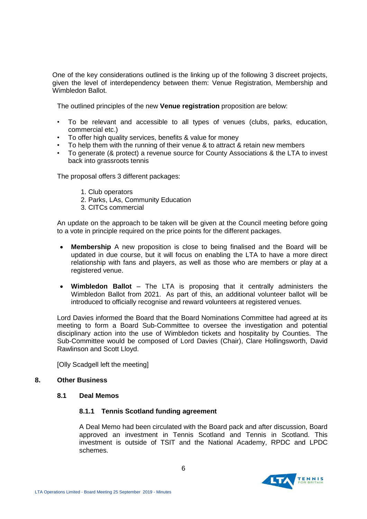One of the key considerations outlined is the linking up of the following 3 discreet projects, given the level of interdependency between them: Venue Registration, Membership and Wimbledon Ballot.

The outlined principles of the new **Venue registration** proposition are below:

- To be relevant and accessible to all types of venues (clubs, parks, education, commercial etc.)
- To offer high quality services, benefits & value for money
- To help them with the running of their venue & to attract & retain new members
- To generate (& protect) a revenue source for County Associations & the LTA to invest back into grassroots tennis

The proposal offers 3 different packages:

- 1. Club operators
- 2. Parks, LAs, Community Education
- 3. CITCs commercial

An update on the approach to be taken will be given at the Council meeting before going to a vote in principle required on the price points for the different packages.

- **Membership** A new proposition is close to being finalised and the Board will be updated in due course, but it will focus on enabling the LTA to have a more direct relationship with fans and players, as well as those who are members or play at a registered venue.
- **Wimbledon Ballot** The LTA is proposing that it centrally administers the Wimbledon Ballot from 2021. As part of this, an additional volunteer ballot will be introduced to officially recognise and reward volunteers at registered venues.

Lord Davies informed the Board that the Board Nominations Committee had agreed at its meeting to form a Board Sub-Committee to oversee the investigation and potential disciplinary action into the use of Wimbledon tickets and hospitality by Counties. The Sub-Committee would be composed of Lord Davies (Chair), Clare Hollingsworth, David Rawlinson and Scott Lloyd.

[Olly Scadgell left the meeting]

#### **8. Other Business**

#### **8.1 Deal Memos**

#### **8.1.1 Tennis Scotland funding agreement**

A Deal Memo had been circulated with the Board pack and after discussion, Board approved an investment in Tennis Scotland and Tennis in Scotland. This investment is outside of TSIT and the National Academy, RPDC and LPDC schemes.

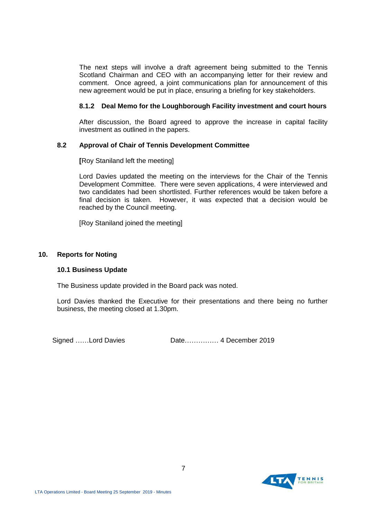The next steps will involve a draft agreement being submitted to the Tennis Scotland Chairman and CEO with an accompanying letter for their review and comment. Once agreed, a joint communications plan for announcement of this new agreement would be put in place, ensuring a briefing for key stakeholders.

# **8.1.2 Deal Memo for the Loughborough Facility investment and court hours**

After discussion, the Board agreed to approve the increase in capital facility investment as outlined in the papers.

# **8.2 Approval of Chair of Tennis Development Committee**

**[**Roy Staniland left the meeting]

Lord Davies updated the meeting on the interviews for the Chair of the Tennis Development Committee. There were seven applications, 4 were interviewed and two candidates had been shortlisted. Further references would be taken before a final decision is taken. However, it was expected that a decision would be reached by the Council meeting.

[Roy Staniland joined the meeting]

## **10. Reports for Noting**

#### **10.1 Business Update**

The Business update provided in the Board pack was noted.

Lord Davies thanked the Executive for their presentations and there being no further business, the meeting closed at 1.30pm.

Signed ……Lord Davies Date…………… 4 December 2019

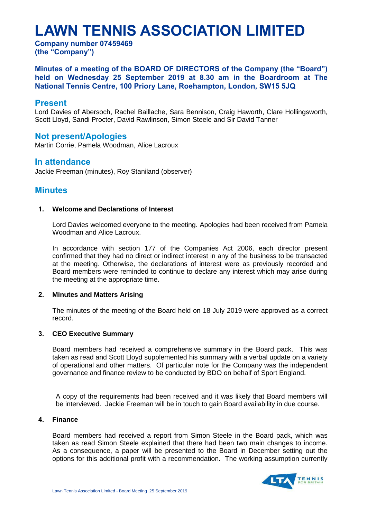# **LAWN TENNIS ASSOCIATION LIMITED**

**Company number 07459469 (the "Company")**

**Minutes of a meeting of the BOARD OF DIRECTORS of the Company (the "Board") held on Wednesday 25 September 2019 at 8.30 am in the Boardroom at The National Tennis Centre, 100 Priory Lane, Roehampton, London, SW15 5JQ**

# **Present**

Lord Davies of Abersoch, Rachel Baillache, Sara Bennison, Craig Haworth, Clare Hollingsworth, Scott Lloyd, Sandi Procter, David Rawlinson, Simon Steele and Sir David Tanner

# **Not present/Apologies**

Martin Corrie, Pamela Woodman, Alice Lacroux

# **In attendance**

Jackie Freeman (minutes), Roy Staniland (observer)

# **Minutes**

## **1. Welcome and Declarations of Interest**

Lord Davies welcomed everyone to the meeting. Apologies had been received from Pamela Woodman and Alice Lacroux.

In accordance with section 177 of the Companies Act 2006, each director present confirmed that they had no direct or indirect interest in any of the business to be transacted at the meeting. Otherwise, the declarations of interest were as previously recorded and Board members were reminded to continue to declare any interest which may arise during the meeting at the appropriate time.

# **2. Minutes and Matters Arising**

The minutes of the meeting of the Board held on 18 July 2019 were approved as a correct record.

# **3. CEO Executive Summary**

Board members had received a comprehensive summary in the Board pack. This was taken as read and Scott Lloyd supplemented his summary with a verbal update on a variety of operational and other matters. Of particular note for the Company was the independent governance and finance review to be conducted by BDO on behalf of Sport England.

A copy of the requirements had been received and it was likely that Board members will be interviewed. Jackie Freeman will be in touch to gain Board availability in due course.

#### **4. Finance**

Board members had received a report from Simon Steele in the Board pack, which was taken as read Simon Steele explained that there had been two main changes to income. As a consequence, a paper will be presented to the Board in December setting out the options for this additional profit with a recommendation. The working assumption currently

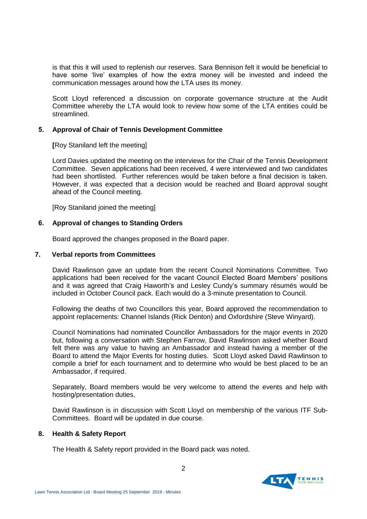is that this it will used to replenish our reserves. Sara Bennison felt it would be beneficial to have some 'live' examples of how the extra money will be invested and indeed the communication messages around how the LTA uses its money.

Scott Lloyd referenced a discussion on corporate governance structure at the Audit Committee whereby the LTA would look to review how some of the LTA entities could be streamlined.

## **5. Approval of Chair of Tennis Development Committee**

**[**Roy Staniland left the meeting]

Lord Davies updated the meeting on the interviews for the Chair of the Tennis Development Committee. Seven applications had been received, 4 were interviewed and two candidates had been shortlisted. Further references would be taken before a final decision is taken. However, it was expected that a decision would be reached and Board approval sought ahead of the Council meeting.

[Roy Staniland joined the meeting]

# **6. Approval of changes to Standing Orders**

Board approved the changes proposed in the Board paper.

#### **7. Verbal reports from Committees**

David Rawlinson gave an update from the recent Council Nominations Committee. Two applications had been received for the vacant Council Elected Board Members' positions and it was agreed that Craig Haworth's and Lesley Cundy's summary résumés would be included in October Council pack. Each would do a 3-minute presentation to Council.

Following the deaths of two Councillors this year, Board approved the recommendation to appoint replacements: Channel Islands (Rick Denton) and Oxfordshire (Steve Winyard).

Council Nominations had nominated Councillor Ambassadors for the major events in 2020 but, following a conversation with Stephen Farrow, David Rawlinson asked whether Board felt there was any value to having an Ambassador and instead having a member of the Board to attend the Major Events for hosting duties. Scott Lloyd asked David Rawlinson to compile a brief for each tournament and to determine who would be best placed to be an Ambassador, if required.

Separately, Board members would be very welcome to attend the events and help with hosting/presentation duties.

David Rawlinson is in discussion with Scott Lloyd on membership of the various ITF Sub-Committees. Board will be updated in due course.

#### **8. Health & Safety Report**

The Health & Safety report provided in the Board pack was noted.